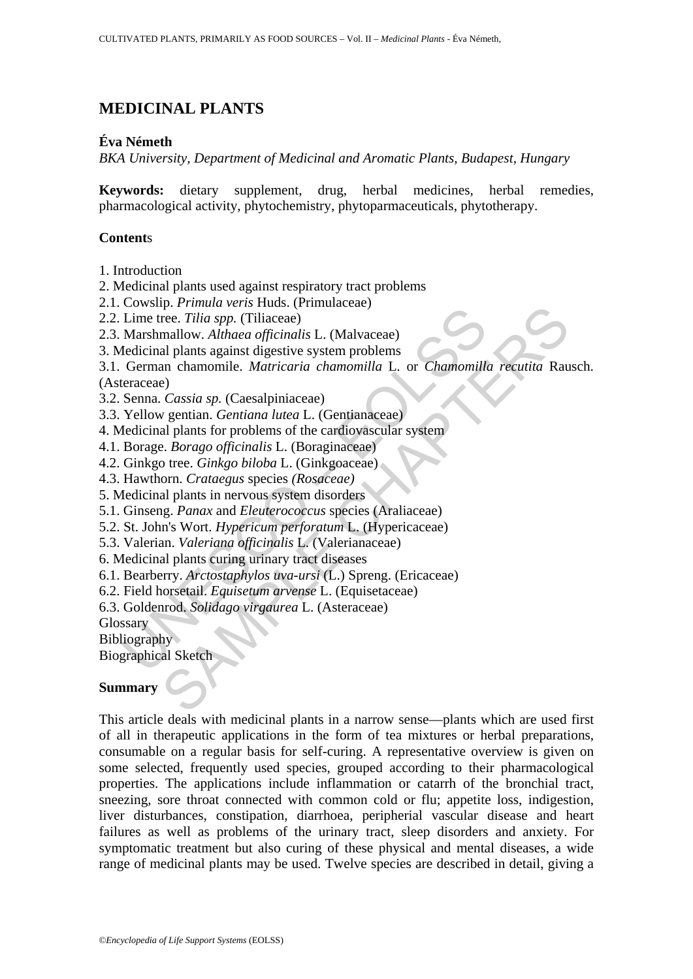# **MEDICINAL PLANTS**

# **Éva Németh**

*BKA University, Department of Medicinal and Aromatic Plants, Budapest, Hungary*

**Keywords:** dietary supplement, drug, herbal medicines, herbal remedies, pharmacological activity, phytochemistry, phytoparmaceuticals, phytotherapy.

# **Content**s

- 1. Introduction
- 2. Medicinal plants used against respiratory tract problems
- 2.1. Cowslip. *Primula veris* Huds. (Primulaceae)
- 2.2. Lime tree. *Tilia spp.* (Tiliaceae)
- 2.3. Marshmallow. *Althaea officinalis* L. (Malvaceae)
- 3. Medicinal plants against digestive system problems
- Lime tree. Tilia spp. (Tiliaceae)<br>
Lime tree. Tilia spp. (Tiliaceae)<br>
Marshmallow. Althaea officinalis L. (Malvaceae)<br>
Eddicinal plants against digestive system problems<br>
German chamomile. *Matricaria chamomilla* L. or *Ch* p. Trimati versi risus; (imitaticae)<br>rec. Tilia spp. (Tiliaceae)<br>mallow. Althaea officinalis L. (Malvaceae)<br>an channomile. Marticaria chamonilla L. or Chamomilla recutita Rau<br>a) e)<br>Cassia sp. (Caesalpiniaceae)<br>e)<br>Cassia sp 3.1. German chamomile. *Matricaria chamomilla* L*.* or *Chamomilla recutita* Rausch. (Asteraceae)
- 3.2. Senna. *Cassia sp.* (Caesalpiniaceae)
- 3.3. Yellow gentian. *Gentiana lutea* L. (Gentianaceae)
- 4. Medicinal plants for problems of the cardiovascular system
- 4.1. Borage. *Borago officinalis* L. (Boraginaceae)
- 4.2. Ginkgo tree. *Ginkgo biloba* L. (Ginkgoaceae)
- 4.3. Hawthorn. *Crataegus* species *(Rosaceae)*
- 5. Medicinal plants in nervous system disorders
- 5.1. Ginseng. *Panax* and *Eleuterococcus* species (Araliaceae)
- 5.2. St. John's Wort. *Hypericum perforatum* L. (Hypericaceae)
- 5.3. Valerian. *Valeriana officinalis* L. (Valerianaceae)
- 6. Medicinal plants curing urinary tract diseases
- 6.1. Bearberry. *Arctostaphylos uva-ursi* (L.) Spreng. (Ericaceae)
- 6.2. Field horsetail. *Equisetum arvense* L. (Equisetaceae)
- 6.3. Goldenrod. *Solidago virgaurea* L. (Asteraceae)

**Glossary** 

**Bibliography** 

Biographical Sketch

## **Summary**

This article deals with medicinal plants in a narrow sense—plants which are used first of all in therapeutic applications in the form of tea mixtures or herbal preparations, consumable on a regular basis for self-curing. A representative overview is given on some selected, frequently used species, grouped according to their pharmacological properties. The applications include inflammation or catarrh of the bronchial tract, sneezing, sore throat connected with common cold or flu; appetite loss, indigestion, liver disturbances, constipation, diarrhoea, peripherial vascular disease and heart failures as well as problems of the urinary tract, sleep disorders and anxiety. For symptomatic treatment but also curing of these physical and mental diseases, a wide range of medicinal plants may be used. Twelve species are described in detail, giving a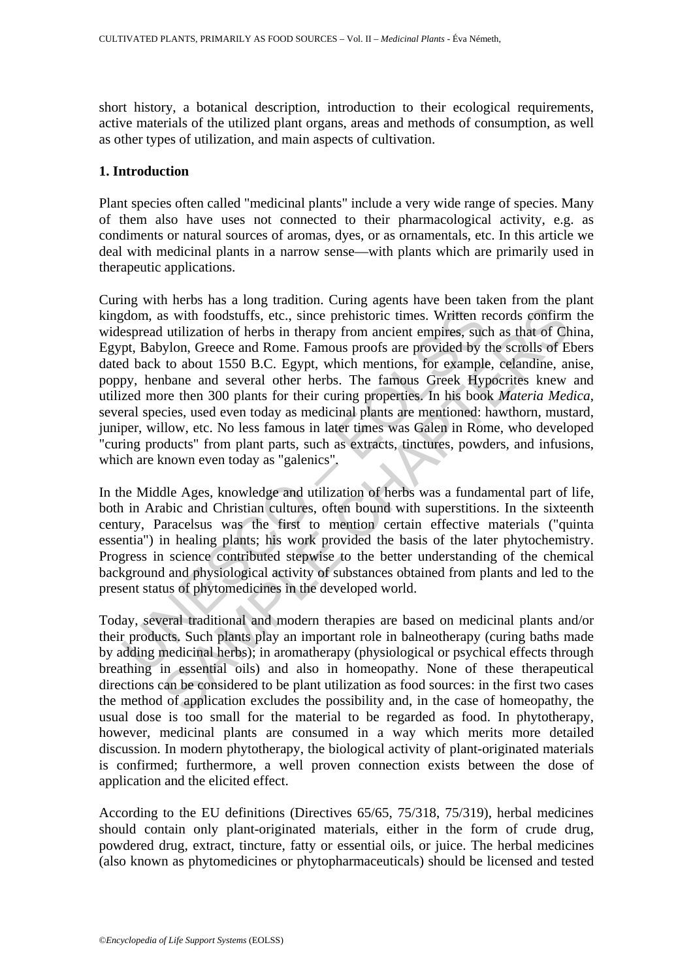short history, a botanical description, introduction to their ecological requirements, active materials of the utilized plant organs, areas and methods of consumption, as well as other types of utilization, and main aspects of cultivation.

### **1. Introduction**

Plant species often called "medicinal plants" include a very wide range of species. Many of them also have uses not connected to their pharmacological activity, e.g. as condiments or natural sources of aromas, dyes, or as ornamentals, etc. In this article we deal with medicinal plants in a narrow sense—with plants which are primarily used in therapeutic applications.

gdom, as with foodstuffs, etc., since prehistoric times. Written respread utilization of herbs in therapy from ancient empires, suc<br>pt, Babylon, Greece and Rome. Famous proofs are provided by t<br>d back to about 1550 B.C. Eg is with foodstuffs, etc., since prehistoric times. Written records confirm<br>
utilization of herbs in therapy from ancient empires, such as that of Cr<br>
utilization of herbs in therapy from ancient empires, such as that of Cr Curing with herbs has a long tradition. Curing agents have been taken from the plant kingdom, as with foodstuffs, etc., since prehistoric times. Written records confirm the widespread utilization of herbs in therapy from ancient empires, such as that of China, Egypt, Babylon, Greece and Rome. Famous proofs are provided by the scrolls of Ebers dated back to about 1550 B.C. Egypt, which mentions, for example, celandine, anise, poppy, henbane and several other herbs. The famous Greek Hypocrites knew and utilized more then 300 plants for their curing properties. In his book *Materia Medica*, several species, used even today as medicinal plants are mentioned: hawthorn, mustard, juniper, willow, etc. No less famous in later times was Galen in Rome, who developed "curing products" from plant parts, such as extracts, tinctures, powders, and infusions, which are known even today as "galenics".

In the Middle Ages, knowledge and utilization of herbs was a fundamental part of life, both in Arabic and Christian cultures, often bound with superstitions. In the sixteenth century, Paracelsus was the first to mention certain effective materials ("quinta essentia") in healing plants; his work provided the basis of the later phytochemistry. Progress in science contributed stepwise to the better understanding of the chemical background and physiological activity of substances obtained from plants and led to the present status of phytomedicines in the developed world.

Today, several traditional and modern therapies are based on medicinal plants and/or their products. Such plants play an important role in balneotherapy (curing baths made by adding medicinal herbs); in aromatherapy (physiological or psychical effects through breathing in essential oils) and also in homeopathy. None of these therapeutical directions can be considered to be plant utilization as food sources: in the first two cases the method of application excludes the possibility and, in the case of homeopathy, the usual dose is too small for the material to be regarded as food. In phytotherapy, however, medicinal plants are consumed in a way which merits more detailed discussion. In modern phytotherapy, the biological activity of plant-originated materials is confirmed; furthermore, a well proven connection exists between the dose of application and the elicited effect.

According to the EU definitions (Directives 65/65, 75/318, 75/319), herbal medicines should contain only plant-originated materials, either in the form of crude drug, powdered drug, extract, tincture, fatty or essential oils, or juice. The herbal medicines (also known as phytomedicines or phytopharmaceuticals) should be licensed and tested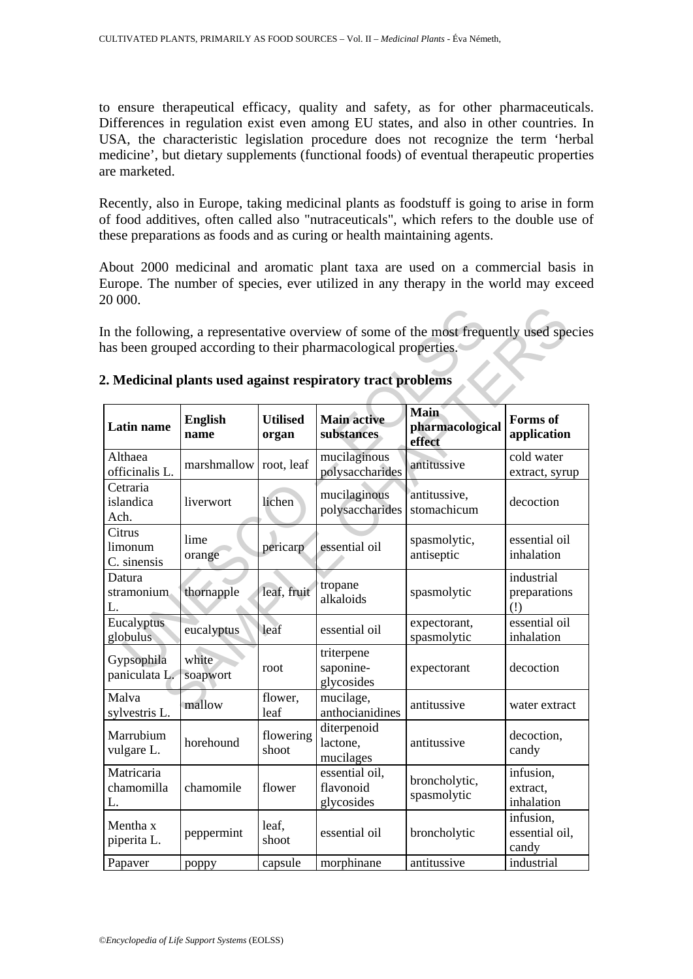to ensure therapeutical efficacy, quality and safety, as for other pharmaceuticals. Differences in regulation exist even among EU states, and also in other countries. In USA, the characteristic legislation procedure does not recognize the term 'herbal medicine', but dietary supplements (functional foods) of eventual therapeutic properties are marketed.

Recently, also in Europe, taking medicinal plants as foodstuff is going to arise in form of food additives, often called also "nutraceuticals", which refers to the double use of these preparations as foods and as curing or health maintaining agents.

About 2000 medicinal and aromatic plant taxa are used on a commercial basis in Europe. The number of species, ever utilized in any therapy in the world may exceed 20 000.

| has been grouped according to their pharmacological properties.<br>2. Medicinal plants used against respiratory tract problems |                        |                          |                                           |                                   |                                      |  |  |  |
|--------------------------------------------------------------------------------------------------------------------------------|------------------------|--------------------------|-------------------------------------------|-----------------------------------|--------------------------------------|--|--|--|
| <b>Latin name</b>                                                                                                              | <b>English</b><br>name | <b>Utilised</b><br>organ | <b>Main active</b><br>substances          | Main<br>pharmacological<br>effect | <b>Forms</b> of<br>application       |  |  |  |
| Althaea<br>officinalis L.                                                                                                      | marshmallow            | root, leaf               | mucilaginous<br>polysaccharides           | antitussive                       | cold water<br>extract, syrup         |  |  |  |
| Cetraria<br>islandica<br>Ach.                                                                                                  | liverwort              | lichen                   | mucilaginous<br>polysaccharides           | antitussive,<br>stomachicum       | decoction                            |  |  |  |
| Citrus<br>limonum<br>C. sinensis                                                                                               | lime<br>orange         | pericarp                 | essential oil                             | spasmolytic,<br>antiseptic        | essential oil<br>inhalation          |  |  |  |
| Datura<br>stramonium<br>L.                                                                                                     | thornapple             | leaf, fruit              | tropane<br>alkaloids                      | spasmolytic                       | industrial<br>preparations<br>(!)    |  |  |  |
| Eucalyptus<br>globulus                                                                                                         | eucalyptus             | leaf                     | essential oil                             | expectorant,<br>spasmolytic       | essential oil<br>inhalation          |  |  |  |
| Gypsophila<br>paniculata L.                                                                                                    | white<br>soapwort      | root                     | triterpene<br>saponine-<br>glycosides     | expectorant                       | decoction                            |  |  |  |
| Malva<br>sylvestris L.                                                                                                         | mallow                 | flower,<br>leaf          | mucilage,<br>anthocianidines              | antitussive                       | water extract                        |  |  |  |
| Marrubium<br>vulgare L.                                                                                                        | horehound              | flowering<br>shoot       | diterpenoid<br>lactone,<br>mucilages      | antitussive                       | decoction,<br>candy                  |  |  |  |
| Matricaria<br>chamomilla<br>L.                                                                                                 | chamomile              | flower                   | essential oil,<br>flavonoid<br>glycosides | broncholytic,<br>spasmolytic      | infusion,<br>extract,<br>inhalation  |  |  |  |
| Mentha x<br>piperita L.                                                                                                        | peppermint             | leaf,<br>shoot           | essential oil                             | broncholytic                      | infusion,<br>essential oil,<br>candy |  |  |  |
| Papaver                                                                                                                        | poppy                  | capsule                  | morphinane                                | antitussive                       | industrial                           |  |  |  |

### **2. Medicinal plants used against respiratory tract problems**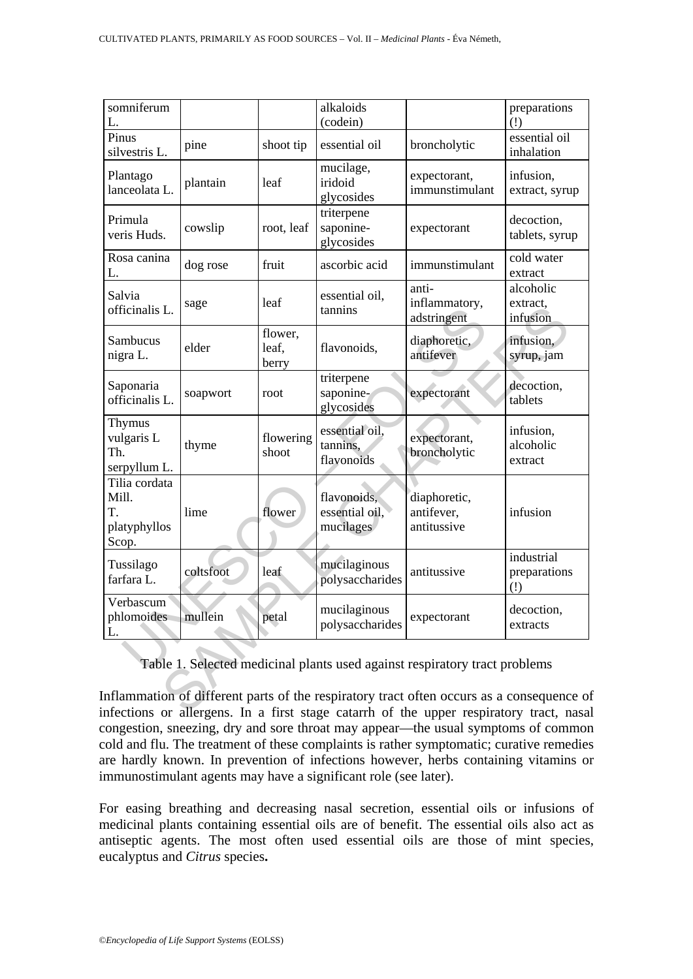| somniferum<br>L.                                                                                                                                                                                                                                                |           |                           | alkaloids<br>(codein)                      |                                           | preparations<br>(!)                                        |  |  |  |
|-----------------------------------------------------------------------------------------------------------------------------------------------------------------------------------------------------------------------------------------------------------------|-----------|---------------------------|--------------------------------------------|-------------------------------------------|------------------------------------------------------------|--|--|--|
| Pinus<br>silvestris L.                                                                                                                                                                                                                                          | pine      | shoot tip                 | essential oil                              | broncholytic                              | essential oil<br>inhalation                                |  |  |  |
| Plantago<br>lanceolata L.                                                                                                                                                                                                                                       | plantain  | leaf                      | mucilage,<br>iridoid<br>glycosides         | expectorant,<br>immunstimulant            | infusion,<br>extract, syrup                                |  |  |  |
| Primula<br>veris Huds.                                                                                                                                                                                                                                          | cowslip   | root, leaf                | triterpene<br>saponine-<br>glycosides      | expectorant                               | decoction,<br>tablets, syrup                               |  |  |  |
| Rosa canina<br>L.                                                                                                                                                                                                                                               | dog rose  | fruit                     | ascorbic acid                              | immunstimulant                            | cold water<br>extract                                      |  |  |  |
| Salvia<br>officinalis L.                                                                                                                                                                                                                                        | sage      | leaf                      | essential oil,<br>tannins                  | anti-<br>inflammatory,<br>adstringent     | alcoholic<br>extract,<br>infusion                          |  |  |  |
| Sambucus<br>nigra L.                                                                                                                                                                                                                                            | elder     | flower,<br>leaf,<br>berry | flavonoids,                                | diaphoretic,<br>antifever                 | infusion,<br>syrup, jam                                    |  |  |  |
| Saponaria<br>officinalis L.                                                                                                                                                                                                                                     | soapwort  | root                      | triterpene<br>saponine-<br>glycosides      | expectorant                               | decoction,<br>tablets                                      |  |  |  |
| Thymus<br>vulgaris L<br>Th.<br>serpyllum L.                                                                                                                                                                                                                     | thyme     | flowering<br>shoot        | essential oil,<br>tannins,<br>flavonoids   | expectorant,<br>broncholytic              | infusion,<br>alcoholic<br>extract                          |  |  |  |
| Tilia cordata<br>Mill.<br>T.<br>platyphyllos<br>Scop.                                                                                                                                                                                                           | lime      | flower                    | flavonoids,<br>essential oil,<br>mucilages | diaphoretic,<br>antifever,<br>antitussive | infusion                                                   |  |  |  |
| Tussilago<br>farfara L.                                                                                                                                                                                                                                         | coltsfoot | leaf                      | mucilaginous<br>polysaccharides            | antitussive                               | industrial<br>preparations<br>$\left( \frac{1}{2} \right)$ |  |  |  |
| Verbascum<br>phlomoides                                                                                                                                                                                                                                         | mullein   | petal                     | mucilaginous<br>polysaccharides            | expectorant                               | decoction,<br>extracts                                     |  |  |  |
| Table 1. Selected medicinal plants used against respiratory tract problems<br>inflammation of different parts of the respiratory tract often occurs as a consequence of<br>nfections or allergens. In a first stage catarrh of the upper respiratory tract nasa |           |                           |                                            |                                           |                                                            |  |  |  |

Table 1. Selected medicinal plants used against respiratory tract problems

Inflammation of different parts of the respiratory tract often occurs as a consequence of infections or allergens. In a first stage catarrh of the upper respiratory tract, nasal congestion, sneezing, dry and sore throat may appear—the usual symptoms of common cold and flu. The treatment of these complaints is rather symptomatic; curative remedies are hardly known. In prevention of infections however, herbs containing vitamins or immunostimulant agents may have a significant role (see later).

For easing breathing and decreasing nasal secretion, essential oils or infusions of medicinal plants containing essential oils are of benefit. The essential oils also act as antiseptic agents. The most often used essential oils are those of mint species, eucalyptus and *Citrus* species**.**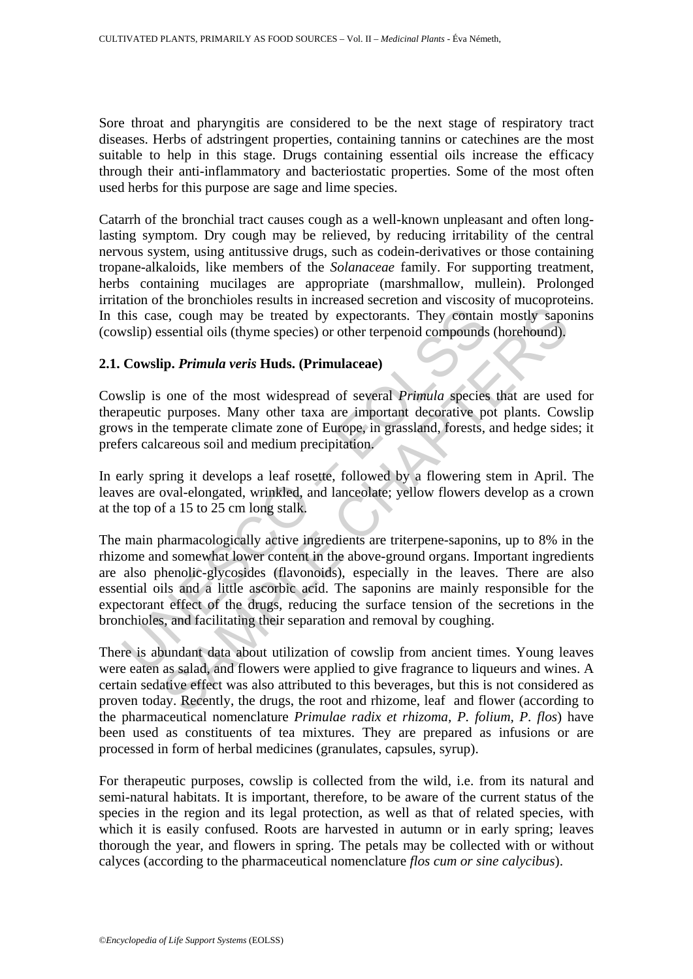Sore throat and pharyngitis are considered to be the next stage of respiratory tract diseases. Herbs of adstringent properties, containing tannins or catechines are the most suitable to help in this stage. Drugs containing essential oils increase the efficacy through their anti-inflammatory and bacteriostatic properties. Some of the most often used herbs for this purpose are sage and lime species.

Catarrh of the bronchial tract causes cough as a well-known unpleasant and often longlasting symptom. Dry cough may be relieved, by reducing irritability of the central nervous system, using antitussive drugs, such as codein-derivatives or those containing tropane-alkaloids, like members of the *Solanaceae* family. For supporting treatment, herbs containing mucilages are appropriate (marshmallow, mullein). Prolonged irritation of the bronchioles results in increased secretion and viscosity of mucoproteins. In this case, cough may be treated by expectorants. They contain mostly saponins (cowslip) essential oils (thyme species) or other terpenoid compounds (horehound).

## **2.1. Cowslip.** *Primula veris* **Huds. (Primulaceae)**

Cowslip is one of the most widespread of several *Primula* species that are used for therapeutic purposes. Many other taxa are important decorative pot plants. Cowslip grows in the temperate climate zone of Europe, in grassland, forests, and hedge sides; it prefers calcareous soil and medium precipitation.

In early spring it develops a leaf rosette, followed by a flowering stem in April. The leaves are oval-elongated, wrinkled, and lanceolate; yellow flowers develop as a crown at the top of a 15 to 25 cm long stalk.

his case, cough may be treated by expectorants. They contains<br>
wslip) essential oils (thyme species) or other terpenoid compounds<br> **Cowslip.** *Primula veris* Huds. (Primulaceae)<br>
subsip is one of the most widespread of sev ie, cough may be treated by expectorants. They contain mostly sapossential oils (thyme species) or other terpenoid compounds (horehound), **ip.** *Primula veris* Huds. (Primulaceae) one of the most widespread of several *Pri* The main pharmacologically active ingredients are triterpene-saponins, up to 8% in the rhizome and somewhat lower content in the above-ground organs. Important ingredients are also phenolic-glycosides (flavonoids), especially in the leaves. There are also essential oils and a little ascorbic acid. The saponins are mainly responsible for the expectorant effect of the drugs, reducing the surface tension of the secretions in the bronchioles, and facilitating their separation and removal by coughing.

There is abundant data about utilization of cowslip from ancient times. Young leaves were eaten as salad, and flowers were applied to give fragrance to liqueurs and wines. A certain sedative effect was also attributed to this beverages, but this is not considered as proven today. Recently, the drugs, the root and rhizome, leaf and flower (according to the pharmaceutical nomenclature *Primulae radix et rhizoma, P. folium, P. flos*) have been used as constituents of tea mixtures. They are prepared as infusions or are processed in form of herbal medicines (granulates, capsules, syrup).

For therapeutic purposes, cowslip is collected from the wild, i.e. from its natural and semi-natural habitats. It is important, therefore, to be aware of the current status of the species in the region and its legal protection, as well as that of related species, with which it is easily confused. Roots are harvested in autumn or in early spring; leaves thorough the year, and flowers in spring. The petals may be collected with or without calyces (according to the pharmaceutical nomenclature *flos cum or sine calycibus*).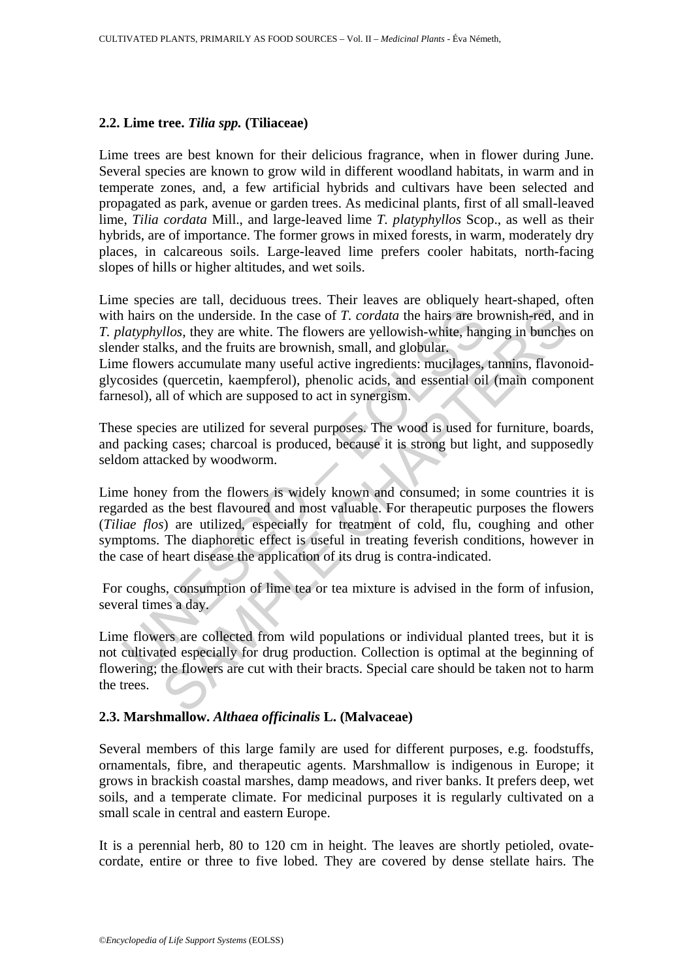# **2.2. Lime tree.** *Tilia spp.* **(Tiliaceae)**

Lime trees are best known for their delicious fragrance, when in flower during June. Several species are known to grow wild in different woodland habitats, in warm and in temperate zones, and, a few artificial hybrids and cultivars have been selected and propagated as park, avenue or garden trees. As medicinal plants, first of all small-leaved lime, *Tilia cordata* Mill., and large-leaved lime *T. platyphyllos* Scop., as well as their hybrids, are of importance. The former grows in mixed forests, in warm, moderately dry places, in calcareous soils. Large-leaved lime prefers cooler habitats, north-facing slopes of hills or higher altitudes, and wet soils.

Lime species are tall, deciduous trees. Their leaves are obliquely heart-shaped, often with hairs on the underside. In the case of *T. cordata* the hairs are brownish-red, and in *T. platyphyllos*, they are white. The flowers are yellowish-white, hanging in bunches on slender stalks, and the fruits are brownish, small, and globular.

Lime flowers accumulate many useful active ingredients: mucilages, tannins, flavonoidglycosides (quercetin, kaempferol), phenolic acids, and essential oil (main component farnesol), all of which are supposed to act in synergism.

These species are utilized for several purposes. The wood is used for furniture, boards, and packing cases; charcoal is produced, because it is strong but light, and supposedly seldom attacked by woodworm.

In a hairs on the underside. In the case of *T. cordata* the hairs are bratyphyllos, they are white. The flowers are yellowish-white, hanger stalks, and the fruits are brownish, small, and globular. E flowers accumulate m not the underside. In the case of *T. cordata* the hairs are brownish-red, and those, they are white. The flowers are yellowish-white, hanging in bunchests, and the fruits are brownish-red, that, and the fruits are brownis Lime honey from the flowers is widely known and consumed; in some countries it is regarded as the best flavoured and most valuable. For therapeutic purposes the flowers (*Tiliae flos*) are utilized, especially for treatment of cold, flu, coughing and other symptoms. The diaphoretic effect is useful in treating feverish conditions, however in the case of heart disease the application of its drug is contra-indicated.

 For coughs, consumption of lime tea or tea mixture is advised in the form of infusion, several times a day.

Lime flowers are collected from wild populations or individual planted trees, but it is not cultivated especially for drug production. Collection is optimal at the beginning of flowering; the flowers are cut with their bracts. Special care should be taken not to harm the trees.

# **2.3. Marshmallow.** *Althaea officinalis* **L. (Malvaceae)**

Several members of this large family are used for different purposes, e.g. foodstuffs, ornamentals, fibre, and therapeutic agents. Marshmallow is indigenous in Europe; it grows in brackish coastal marshes, damp meadows, and river banks. It prefers deep, wet soils, and a temperate climate. For medicinal purposes it is regularly cultivated on a small scale in central and eastern Europe.

It is a perennial herb, 80 to 120 cm in height. The leaves are shortly petioled, ovatecordate, entire or three to five lobed. They are covered by dense stellate hairs. The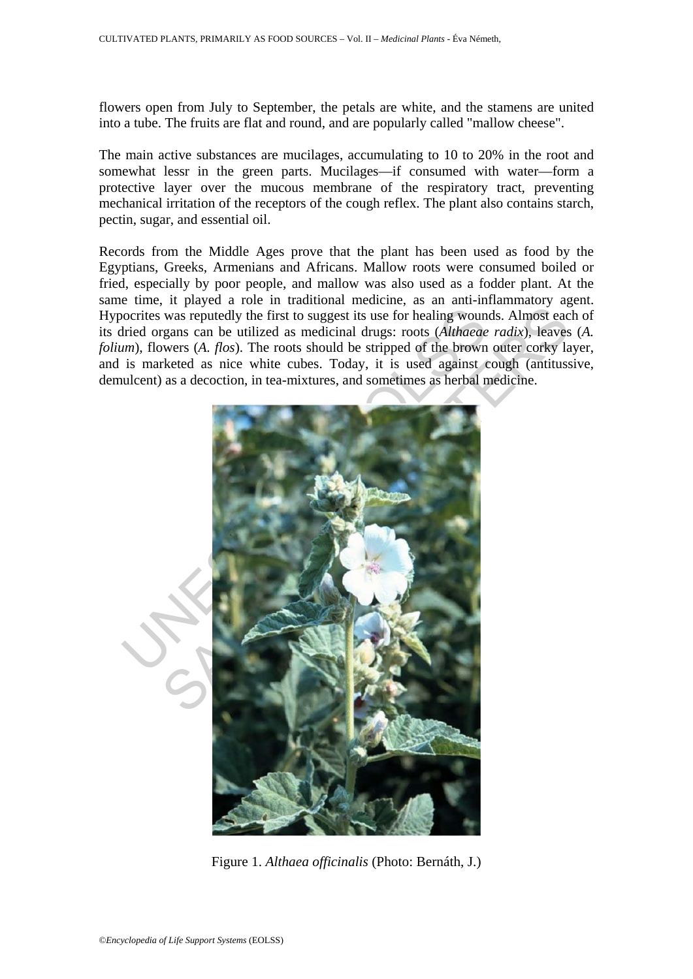flowers open from July to September, the petals are white, and the stamens are united into a tube. The fruits are flat and round, and are popularly called "mallow cheese".

The main active substances are mucilages, accumulating to 10 to 20% in the root and somewhat lessr in the green parts. Mucilages—if consumed with water—form a protective layer over the mucous membrane of the respiratory tract, preventing mechanical irritation of the receptors of the cough reflex. The plant also contains starch, pectin, sugar, and essential oil.

Records from the Middle Ages prove that the plant has been used as food by the Egyptians, Greeks, Armenians and Africans. Mallow roots were consumed boiled or fried, especially by poor people, and mallow was also used as a fodder plant. At the same time, it played a role in traditional medicine, as an anti-inflammatory agent. Hypocrites was reputedly the first to suggest its use for healing wounds. Almost each of its dried organs can be utilized as medicinal drugs: roots (*Althaeae radix*), leaves (*A. folium*), flowers (*A. flos*). The roots should be stripped of the brown outer corky layer, and is marketed as nice white cubes. Today, it is used against cough (antitussive, demulcent) as a decoction, in tea-mixtures, and sometimes as herbal medicine.



Figure 1. *Althaea officinalis* (Photo: Bernáth, J.)